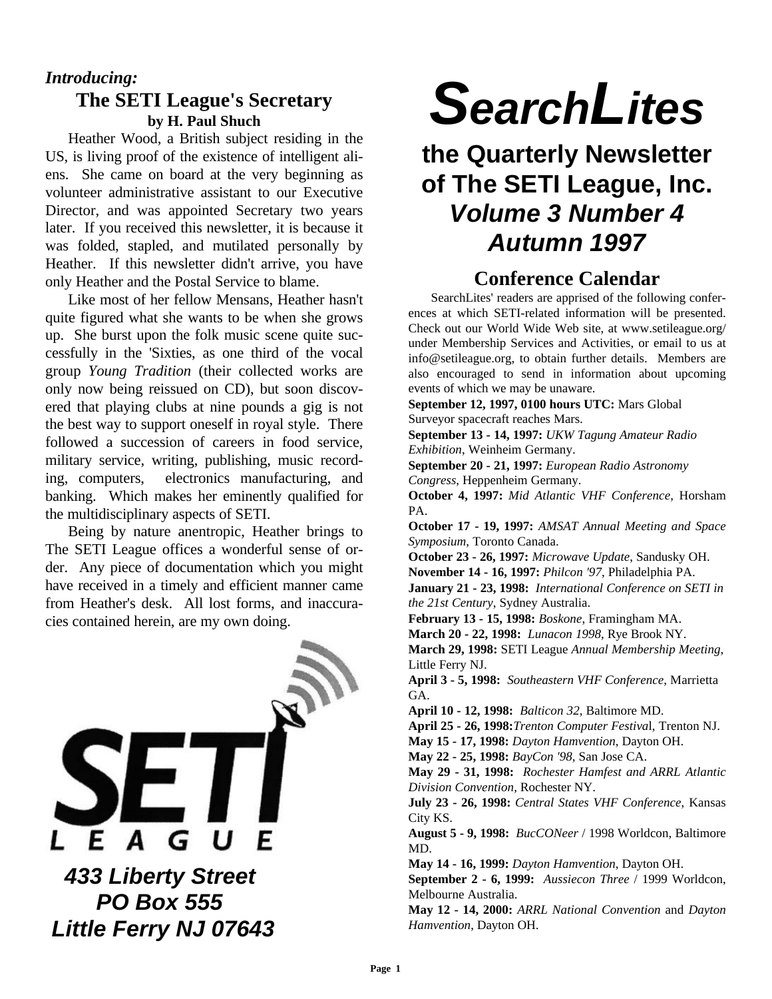### *Introducing:* **The SETI League's Secretary by H. Paul Shuch**

Heather Wood, a British subject residing in the US, is living proof of the existence of intelligent aliens. She came on board at the very beginning as volunteer administrative assistant to our Executive Director, and was appointed Secretary two years later. If you received this newsletter, it is because it was folded, stapled, and mutilated personally by Heather. If this newsletter didn't arrive, you have only Heather and the Postal Service to blame.

Like most of her fellow Mensans, Heather hasn't quite figured what she wants to be when she grows up. She burst upon the folk music scene quite successfully in the 'Sixties, as one third of the vocal group *Young Tradition* (their collected works are only now being reissued on CD), but soon discovered that playing clubs at nine pounds a gig is not the best way to support oneself in royal style. There followed a succession of careers in food service, military service, writing, publishing, music recording, computers, electronics manufacturing, and banking. Which makes her eminently qualified for the multidisciplinary aspects of SETI.

Being by nature anentropic, Heather brings to The SETI League offices a wonderful sense of order. Any piece of documentation which you might have received in a timely and efficient manner came from Heather's desk. All lost forms, and inaccuracies contained herein, are my own doing.



# *SearchLites*

# **the Quarterly Newsletter of The SETI League, Inc.** *Volume 3 Number 4 Autumn 1997*

# **Conference Calendar**

SearchLites' readers are apprised of the following conferences at which SETI-related information will be presented. Check out our World Wide Web site, at www.setileague.org/ under Membership Services and Activities, or email to us at info@setileague.org, to obtain further details. Members are also encouraged to send in information about upcoming events of which we may be unaware.

**September 12, 1997, 0100 hours UTC:** Mars Global Surveyor spacecraft reaches Mars.

**September 13 - 14, 1997:** *UKW Tagung Amateur Radio Exhibition*, Weinheim Germany.

**September 20 - 21, 1997:** *European Radio Astronomy Congress*, Heppenheim Germany.

**October 4, 1997:** *Mid Atlantic VHF Conference*, Horsham PA.

**October 17 - 19, 1997:** *AMSAT Annual Meeting and Space Symposium*, Toronto Canada.

**October 23 - 26, 1997:** *Microwave Update*, Sandusky OH.

**November 14 - 16, 1997:** *Philcon '97*, Philadelphia PA.

**January 21 - 23, 1998:** *International Conference on SETI in the 21st Century*, Sydney Australia.

**February 13 - 15, 1998:** *Boskone*, Framingham MA.

**March 20 - 22, 1998:** *Lunacon 1998*, Rye Brook NY.

**March 29, 1998:** SETI League *Annual Membership Meeting*, Little Ferry NJ.

**April 3 - 5, 1998:** *Southeastern VHF Conference*, Marrietta GA.

**April 10 - 12, 1998:** *Balticon 32*, Baltimore MD.

**April 25 - 26, 1998:***Trenton Computer Festiva*l, Trenton NJ.

**May 15 - 17, 1998:** *Dayton Hamvention*, Dayton OH.

**May 22 - 25, 1998:** *BayCon '98*, San Jose CA.

**May 29 - 31, 1998:** *Rochester Hamfest and ARRL Atlantic Division Convention*, Rochester NY.

**July 23 - 26, 1998:** *Central States VHF Conference*, Kansas City KS.

**August 5 - 9, 1998:** *BucCONeer* / 1998 Worldcon, Baltimore MD.

**May 14 - 16, 1999:** *Dayton Hamvention*, Dayton OH.

**September 2 - 6, 1999:** *Aussiecon Three* / 1999 Worldcon, Melbourne Australia.

**May 12 - 14, 2000:** *ARRL National Convention* and *Dayton Hamvention*, Dayton OH.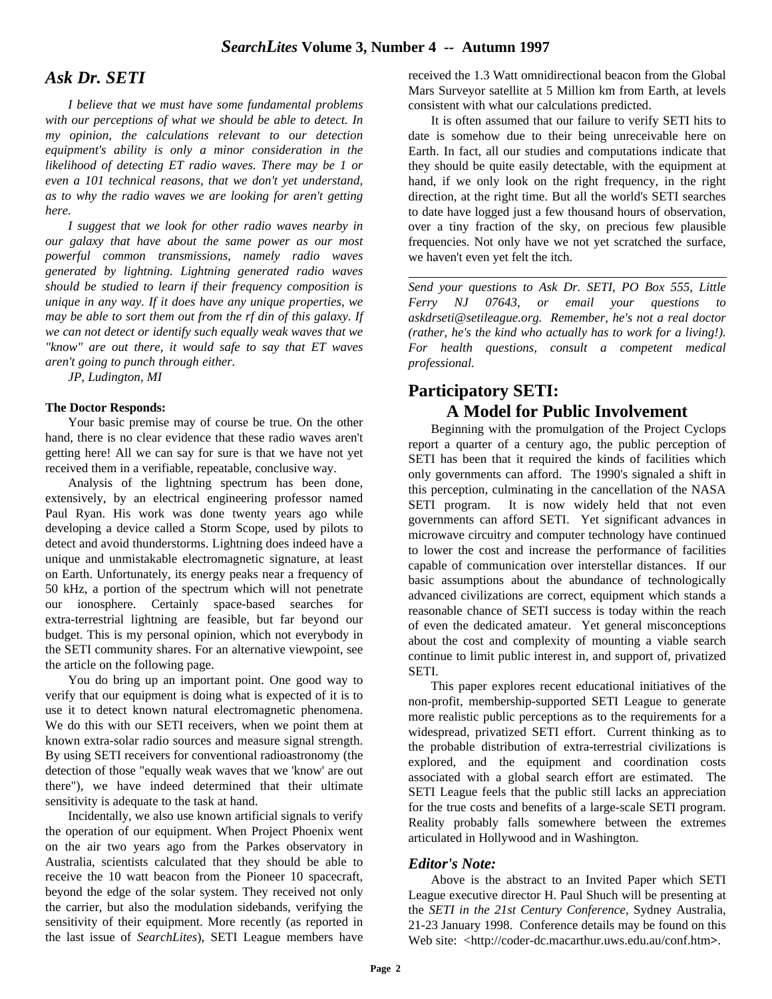#### *Ask Dr. SETI*

*I believe that we must have some fundamental problems with our perceptions of what we should be able to detect. In my opinion, the calculations relevant to our detection equipment's ability is only a minor consideration in the likelihood of detecting ET radio waves. There may be 1 or even a 101 technical reasons, that we don't yet understand, as to why the radio waves we are looking for aren't getting here.*

*I suggest that we look for other radio waves nearby in our galaxy that have about the same power as our most powerful common transmissions, namely radio waves generated by lightning. Lightning generated radio waves should be studied to learn if their frequency composition is unique in any way. If it does have any unique properties, we may be able to sort them out from the rf din of this galaxy. If we can not detect or identify such equally weak waves that we "know" are out there, it would safe to say that ET waves aren't going to punch through either.*

*JP, Ludington, MI*

#### **The Doctor Responds:**

Your basic premise may of course be true. On the other hand, there is no clear evidence that these radio waves aren't getting here! All we can say for sure is that we have not yet received them in a verifiable, repeatable, conclusive way.

Analysis of the lightning spectrum has been done, extensively, by an electrical engineering professor named Paul Ryan. His work was done twenty years ago while developing a device called a Storm Scope, used by pilots to detect and avoid thunderstorms. Lightning does indeed have a unique and unmistakable electromagnetic signature, at least on Earth. Unfortunately, its energy peaks near a frequency of 50 kHz, a portion of the spectrum which will not penetrate our ionosphere. Certainly space-based searches for extra-terrestrial lightning are feasible, but far beyond our budget. This is my personal opinion, which not everybody in the SETI community shares. For an alternative viewpoint, see the article on the following page.

You do bring up an important point. One good way to verify that our equipment is doing what is expected of it is to use it to detect known natural electromagnetic phenomena. We do this with our SETI receivers, when we point them at known extra-solar radio sources and measure signal strength. By using SETI receivers for conventional radioastronomy (the detection of those "equally weak waves that we 'know' are out there"), we have indeed determined that their ultimate sensitivity is adequate to the task at hand.

Incidentally, we also use known artificial signals to verify the operation of our equipment. When Project Phoenix went on the air two years ago from the Parkes observatory in Australia, scientists calculated that they should be able to receive the 10 watt beacon from the Pioneer 10 spacecraft, beyond the edge of the solar system. They received not only the carrier, but also the modulation sidebands, verifying the sensitivity of their equipment. More recently (as reported in the last issue of *SearchLites*), SETI League members have received the 1.3 Watt omnidirectional beacon from the Global Mars Surveyor satellite at 5 Million km from Earth, at levels consistent with what our calculations predicted.

It is often assumed that our failure to verify SETI hits to date is somehow due to their being unreceivable here on Earth. In fact, all our studies and computations indicate that they should be quite easily detectable, with the equipment at hand, if we only look on the right frequency, in the right direction, at the right time. But all the world's SETI searches to date have logged just a few thousand hours of observation, over a tiny fraction of the sky, on precious few plausible frequencies. Not only have we not yet scratched the surface, we haven't even yet felt the itch.

*Send your questions to Ask Dr. SETI, PO Box 555, Little Ferry NJ 07643, or email your questions to askdrseti@setileague.org. Remember, he's not a real doctor (rather, he's the kind who actually has to work for a living!). For health questions, consult a competent medical professional.*

#### **Participatory SETI: A Model for Public Involvement**

Beginning with the promulgation of the Project Cyclops report a quarter of a century ago, the public perception of SETI has been that it required the kinds of facilities which only governments can afford. The 1990's signaled a shift in this perception, culminating in the cancellation of the NASA SETI program. It is now widely held that not even governments can afford SETI. Yet significant advances in microwave circuitry and computer technology have continued to lower the cost and increase the performance of facilities capable of communication over interstellar distances. If our basic assumptions about the abundance of technologically advanced civilizations are correct, equipment which stands a reasonable chance of SETI success is today within the reach of even the dedicated amateur. Yet general misconceptions about the cost and complexity of mounting a viable search continue to limit public interest in, and support of, privatized SETI.

This paper explores recent educational initiatives of the non-profit, membership-supported SETI League to generate more realistic public perceptions as to the requirements for a widespread, privatized SETI effort. Current thinking as to the probable distribution of extra-terrestrial civilizations is explored, and the equipment and coordination costs associated with a global search effort are estimated. The SETI League feels that the public still lacks an appreciation for the true costs and benefits of a large-scale SETI program. Reality probably falls somewhere between the extremes articulated in Hollywood and in Washington.

#### *Editor's Note:*

Above is the abstract to an Invited Paper which SETI League executive director H. Paul Shuch will be presenting at the *SETI in the 21st Century Conference*, Sydney Australia, 21-23 January 1998. Conference details may be found on this Web site: <http://coder-dc.macarthur.uws.edu.au/conf.htm**>**.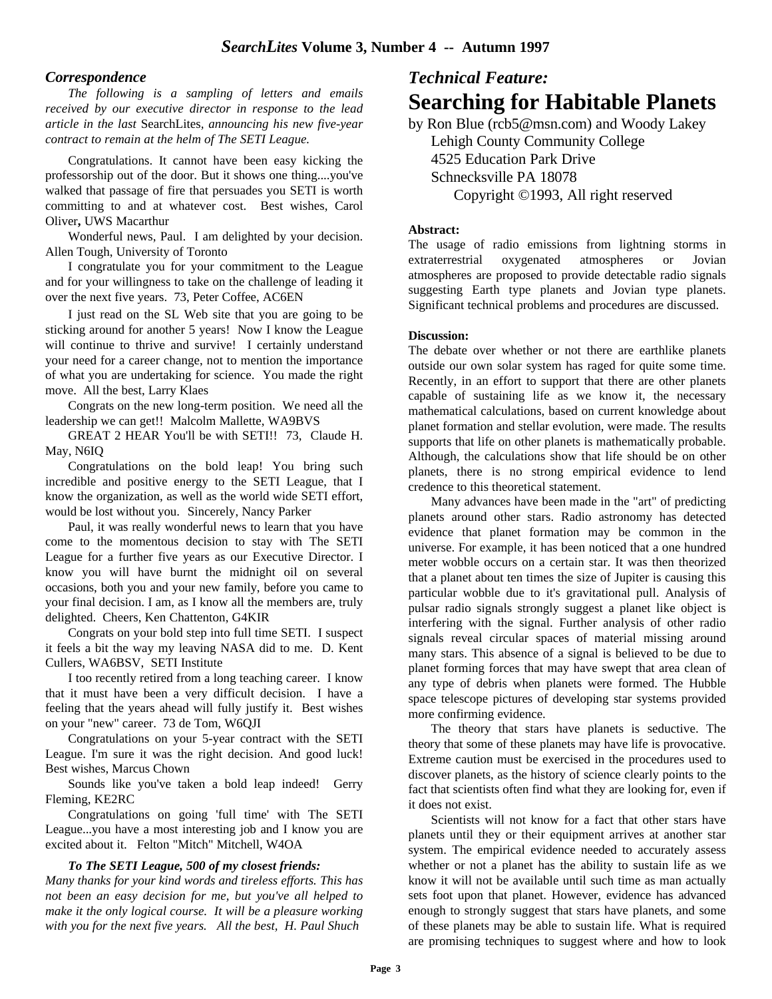#### *Correspondence*

*The following is a sampling of letters and emails received by our executive director in response to the lead article in the last* SearchLites*, announcing his new five-year contract to remain at the helm of The SETI League.*

Congratulations. It cannot have been easy kicking the professorship out of the door. But it shows one thing....you've walked that passage of fire that persuades you SETI is worth committing to and at whatever cost. Best wishes, Carol Oliver**,** UWS Macarthur

Wonderful news, Paul. I am delighted by your decision. Allen Tough, University of Toronto

I congratulate you for your commitment to the League and for your willingness to take on the challenge of leading it over the next five years. 73, Peter Coffee, AC6EN

I just read on the SL Web site that you are going to be sticking around for another 5 years! Now I know the League will continue to thrive and survive! I certainly understand your need for a career change, not to mention the importance of what you are undertaking for science. You made the right move. All the best, Larry Klaes

Congrats on the new long-term position. We need all the leadership we can get!! Malcolm Mallette, WA9BVS

GREAT 2 HEAR You'll be with SETI!! 73, Claude H. May, N6IQ

Congratulations on the bold leap! You bring such incredible and positive energy to the SETI League, that I know the organization, as well as the world wide SETI effort, would be lost without you. Sincerely, Nancy Parker

Paul, it was really wonderful news to learn that you have come to the momentous decision to stay with The SETI League for a further five years as our Executive Director. I know you will have burnt the midnight oil on several occasions, both you and your new family, before you came to your final decision. I am, as I know all the members are, truly delighted. Cheers, Ken Chattenton, G4KIR

Congrats on your bold step into full time SETI. I suspect it feels a bit the way my leaving NASA did to me. D. Kent Cullers, WA6BSV, SETI Institute

I too recently retired from a long teaching career. I know that it must have been a very difficult decision. I have a feeling that the years ahead will fully justify it. Best wishes on your "new" career. 73 de Tom, W6QJI

Congratulations on your 5-year contract with the SETI League. I'm sure it was the right decision. And good luck! Best wishes, Marcus Chown

Sounds like you've taken a bold leap indeed! Gerry Fleming, KE2RC

Congratulations on going 'full time' with The SETI League...you have a most interesting job and I know you are excited about it. Felton "Mitch" Mitchell, W4OA

#### *To The SETI League, 500 of my closest friends:*

*Many thanks for your kind words and tireless efforts. This has not been an easy decision for me, but you've all helped to make it the only logical course. It will be a pleasure working with you for the next five years. All the best, H. Paul Shuch*

# *Technical Feature:* **Searching for Habitable Planets**

by Ron Blue (rcb5@msn.com) and Woody Lakey Lehigh County Community College 4525 Education Park Drive Schnecksville PA 18078 Copyright ©1993, All right reserved

#### **Abstract:**

The usage of radio emissions from lightning storms in extraterrestrial oxygenated atmospheres or Jovian atmospheres are proposed to provide detectable radio signals suggesting Earth type planets and Jovian type planets. Significant technical problems and procedures are discussed.

#### **Discussion:**

The debate over whether or not there are earthlike planets outside our own solar system has raged for quite some time. Recently, in an effort to support that there are other planets capable of sustaining life as we know it, the necessary mathematical calculations, based on current knowledge about planet formation and stellar evolution, were made. The results supports that life on other planets is mathematically probable. Although, the calculations show that life should be on other planets, there is no strong empirical evidence to lend credence to this theoretical statement.

Many advances have been made in the "art" of predicting planets around other stars. Radio astronomy has detected evidence that planet formation may be common in the universe. For example, it has been noticed that a one hundred meter wobble occurs on a certain star. It was then theorized that a planet about ten times the size of Jupiter is causing this particular wobble due to it's gravitational pull. Analysis of pulsar radio signals strongly suggest a planet like object is interfering with the signal. Further analysis of other radio signals reveal circular spaces of material missing around many stars. This absence of a signal is believed to be due to planet forming forces that may have swept that area clean of any type of debris when planets were formed. The Hubble space telescope pictures of developing star systems provided more confirming evidence.

The theory that stars have planets is seductive. The theory that some of these planets may have life is provocative. Extreme caution must be exercised in the procedures used to discover planets, as the history of science clearly points to the fact that scientists often find what they are looking for, even if it does not exist.

Scientists will not know for a fact that other stars have planets until they or their equipment arrives at another star system. The empirical evidence needed to accurately assess whether or not a planet has the ability to sustain life as we know it will not be available until such time as man actually sets foot upon that planet. However, evidence has advanced enough to strongly suggest that stars have planets, and some of these planets may be able to sustain life. What is required are promising techniques to suggest where and how to look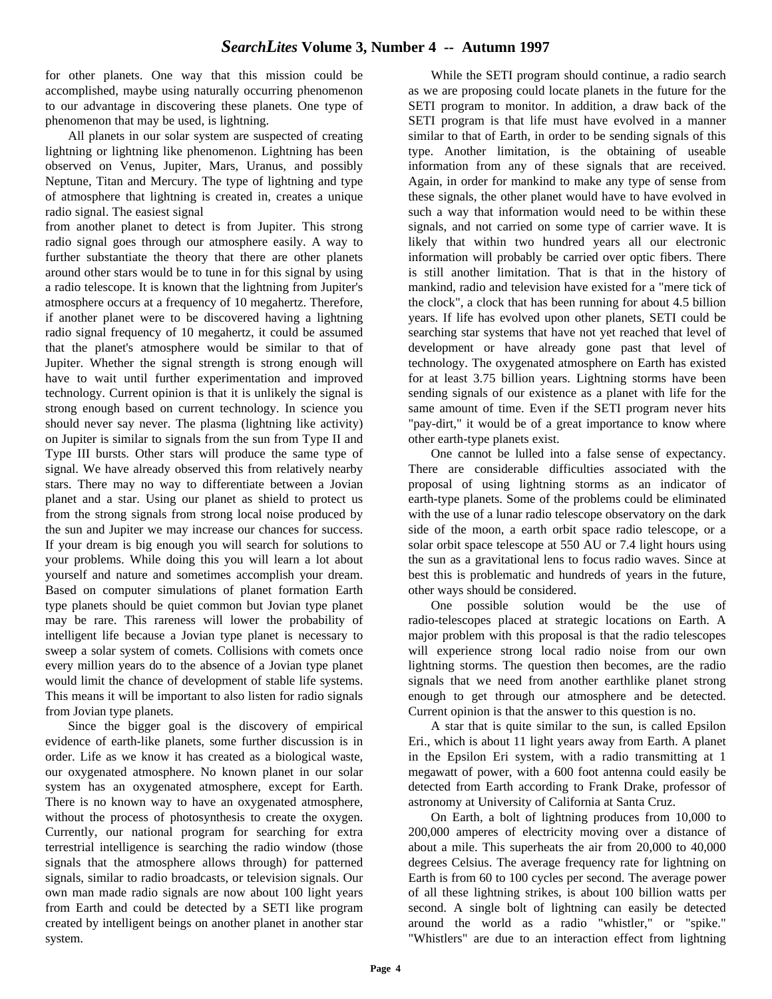for other planets. One way that this mission could be accomplished, maybe using naturally occurring phenomenon to our advantage in discovering these planets. One type of phenomenon that may be used, is lightning.

All planets in our solar system are suspected of creating lightning or lightning like phenomenon. Lightning has been observed on Venus, Jupiter, Mars, Uranus, and possibly Neptune, Titan and Mercury. The type of lightning and type of atmosphere that lightning is created in, creates a unique radio signal. The easiest signal

from another planet to detect is from Jupiter. This strong radio signal goes through our atmosphere easily. A way to further substantiate the theory that there are other planets around other stars would be to tune in for this signal by using a radio telescope. It is known that the lightning from Jupiter's atmosphere occurs at a frequency of 10 megahertz. Therefore, if another planet were to be discovered having a lightning radio signal frequency of 10 megahertz, it could be assumed that the planet's atmosphere would be similar to that of Jupiter. Whether the signal strength is strong enough will have to wait until further experimentation and improved technology. Current opinion is that it is unlikely the signal is strong enough based on current technology. In science you should never say never. The plasma (lightning like activity) on Jupiter is similar to signals from the sun from Type II and Type III bursts. Other stars will produce the same type of signal. We have already observed this from relatively nearby stars. There may no way to differentiate between a Jovian planet and a star. Using our planet as shield to protect us from the strong signals from strong local noise produced by the sun and Jupiter we may increase our chances for success. If your dream is big enough you will search for solutions to your problems. While doing this you will learn a lot about yourself and nature and sometimes accomplish your dream. Based on computer simulations of planet formation Earth type planets should be quiet common but Jovian type planet may be rare. This rareness will lower the probability of intelligent life because a Jovian type planet is necessary to sweep a solar system of comets. Collisions with comets once every million years do to the absence of a Jovian type planet would limit the chance of development of stable life systems. This means it will be important to also listen for radio signals from Jovian type planets.

Since the bigger goal is the discovery of empirical evidence of earth-like planets, some further discussion is in order. Life as we know it has created as a biological waste, our oxygenated atmosphere. No known planet in our solar system has an oxygenated atmosphere, except for Earth. There is no known way to have an oxygenated atmosphere, without the process of photosynthesis to create the oxygen. Currently, our national program for searching for extra terrestrial intelligence is searching the radio window (those signals that the atmosphere allows through) for patterned signals, similar to radio broadcasts, or television signals. Our own man made radio signals are now about 100 light years from Earth and could be detected by a SETI like program created by intelligent beings on another planet in another star system.

While the SETI program should continue, a radio search as we are proposing could locate planets in the future for the SETI program to monitor. In addition, a draw back of the SETI program is that life must have evolved in a manner similar to that of Earth, in order to be sending signals of this type. Another limitation, is the obtaining of useable information from any of these signals that are received. Again, in order for mankind to make any type of sense from these signals, the other planet would have to have evolved in such a way that information would need to be within these signals, and not carried on some type of carrier wave. It is likely that within two hundred years all our electronic information will probably be carried over optic fibers. There is still another limitation. That is that in the history of mankind, radio and television have existed for a "mere tick of the clock", a clock that has been running for about 4.5 billion years. If life has evolved upon other planets, SETI could be searching star systems that have not yet reached that level of development or have already gone past that level of technology. The oxygenated atmosphere on Earth has existed for at least 3.75 billion years. Lightning storms have been sending signals of our existence as a planet with life for the same amount of time. Even if the SETI program never hits "pay-dirt," it would be of a great importance to know where other earth-type planets exist.

One cannot be lulled into a false sense of expectancy. There are considerable difficulties associated with the proposal of using lightning storms as an indicator of earth-type planets. Some of the problems could be eliminated with the use of a lunar radio telescope observatory on the dark side of the moon, a earth orbit space radio telescope, or a solar orbit space telescope at 550 AU or 7.4 light hours using the sun as a gravitational lens to focus radio waves. Since at best this is problematic and hundreds of years in the future, other ways should be considered.

One possible solution would be the use of radio-telescopes placed at strategic locations on Earth. A major problem with this proposal is that the radio telescopes will experience strong local radio noise from our own lightning storms. The question then becomes, are the radio signals that we need from another earthlike planet strong enough to get through our atmosphere and be detected. Current opinion is that the answer to this question is no.

A star that is quite similar to the sun, is called Epsilon Eri., which is about 11 light years away from Earth. A planet in the Epsilon Eri system, with a radio transmitting at 1 megawatt of power, with a 600 foot antenna could easily be detected from Earth according to Frank Drake, professor of astronomy at University of California at Santa Cruz.

On Earth, a bolt of lightning produces from 10,000 to 200,000 amperes of electricity moving over a distance of about a mile. This superheats the air from 20,000 to 40,000 degrees Celsius. The average frequency rate for lightning on Earth is from 60 to 100 cycles per second. The average power of all these lightning strikes, is about 100 billion watts per second. A single bolt of lightning can easily be detected around the world as a radio "whistler," or "spike." "Whistlers" are due to an interaction effect from lightning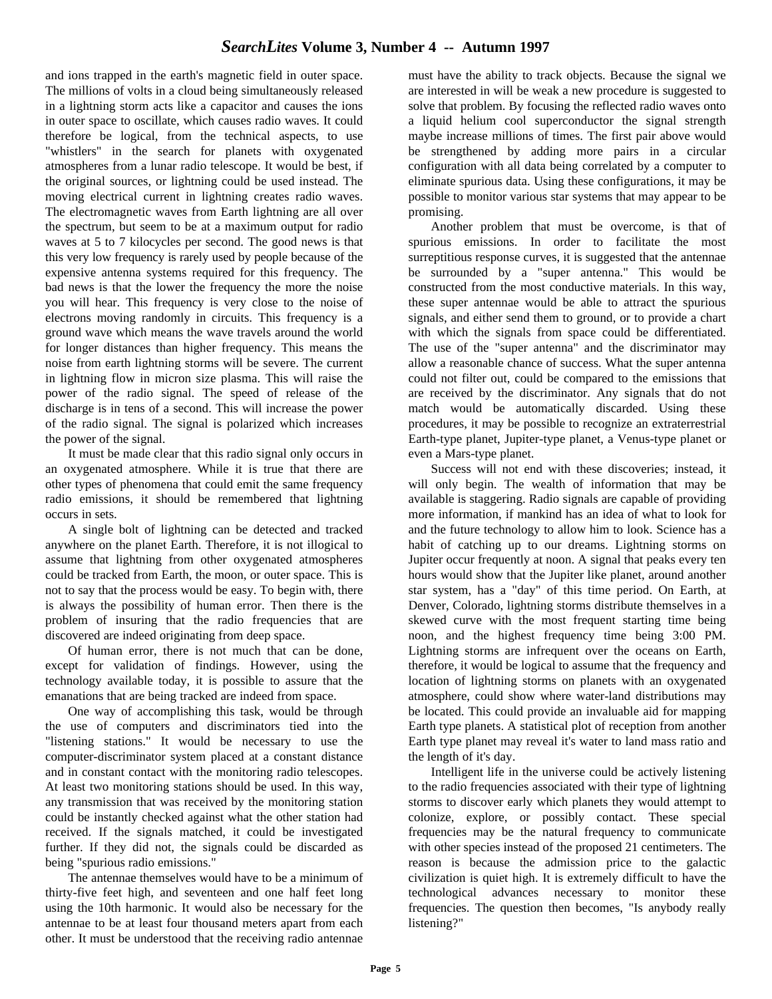and ions trapped in the earth's magnetic field in outer space. The millions of volts in a cloud being simultaneously released in a lightning storm acts like a capacitor and causes the ions in outer space to oscillate, which causes radio waves. It could therefore be logical, from the technical aspects, to use "whistlers" in the search for planets with oxygenated atmospheres from a lunar radio telescope. It would be best, if the original sources, or lightning could be used instead. The moving electrical current in lightning creates radio waves. The electromagnetic waves from Earth lightning are all over the spectrum, but seem to be at a maximum output for radio waves at 5 to 7 kilocycles per second. The good news is that this very low frequency is rarely used by people because of the expensive antenna systems required for this frequency. The bad news is that the lower the frequency the more the noise you will hear. This frequency is very close to the noise of electrons moving randomly in circuits. This frequency is a ground wave which means the wave travels around the world for longer distances than higher frequency. This means the noise from earth lightning storms will be severe. The current in lightning flow in micron size plasma. This will raise the power of the radio signal. The speed of release of the discharge is in tens of a second. This will increase the power of the radio signal. The signal is polarized which increases the power of the signal.

It must be made clear that this radio signal only occurs in an oxygenated atmosphere. While it is true that there are other types of phenomena that could emit the same frequency radio emissions, it should be remembered that lightning occurs in sets.

A single bolt of lightning can be detected and tracked anywhere on the planet Earth. Therefore, it is not illogical to assume that lightning from other oxygenated atmospheres could be tracked from Earth, the moon, or outer space. This is not to say that the process would be easy. To begin with, there is always the possibility of human error. Then there is the problem of insuring that the radio frequencies that are discovered are indeed originating from deep space.

Of human error, there is not much that can be done, except for validation of findings. However, using the technology available today, it is possible to assure that the emanations that are being tracked are indeed from space.

One way of accomplishing this task, would be through the use of computers and discriminators tied into the "listening stations." It would be necessary to use the computer-discriminator system placed at a constant distance and in constant contact with the monitoring radio telescopes. At least two monitoring stations should be used. In this way, any transmission that was received by the monitoring station could be instantly checked against what the other station had received. If the signals matched, it could be investigated further. If they did not, the signals could be discarded as being "spurious radio emissions."

The antennae themselves would have to be a minimum of thirty-five feet high, and seventeen and one half feet long using the 10th harmonic. It would also be necessary for the antennae to be at least four thousand meters apart from each other. It must be understood that the receiving radio antennae

must have the ability to track objects. Because the signal we are interested in will be weak a new procedure is suggested to solve that problem. By focusing the reflected radio waves onto a liquid helium cool superconductor the signal strength maybe increase millions of times. The first pair above would be strengthened by adding more pairs in a circular configuration with all data being correlated by a computer to eliminate spurious data. Using these configurations, it may be possible to monitor various star systems that may appear to be promising.

Another problem that must be overcome, is that of spurious emissions. In order to facilitate the most surreptitious response curves, it is suggested that the antennae be surrounded by a "super antenna." This would be constructed from the most conductive materials. In this way, these super antennae would be able to attract the spurious signals, and either send them to ground, or to provide a chart with which the signals from space could be differentiated. The use of the "super antenna" and the discriminator may allow a reasonable chance of success. What the super antenna could not filter out, could be compared to the emissions that are received by the discriminator. Any signals that do not match would be automatically discarded. Using these procedures, it may be possible to recognize an extraterrestrial Earth-type planet, Jupiter-type planet, a Venus-type planet or even a Mars-type planet.

Success will not end with these discoveries; instead, it will only begin. The wealth of information that may be available is staggering. Radio signals are capable of providing more information, if mankind has an idea of what to look for and the future technology to allow him to look. Science has a habit of catching up to our dreams. Lightning storms on Jupiter occur frequently at noon. A signal that peaks every ten hours would show that the Jupiter like planet, around another star system, has a "day" of this time period. On Earth, at Denver, Colorado, lightning storms distribute themselves in a skewed curve with the most frequent starting time being noon, and the highest frequency time being 3:00 PM. Lightning storms are infrequent over the oceans on Earth, therefore, it would be logical to assume that the frequency and location of lightning storms on planets with an oxygenated atmosphere, could show where water-land distributions may be located. This could provide an invaluable aid for mapping Earth type planets. A statistical plot of reception from another Earth type planet may reveal it's water to land mass ratio and the length of it's day.

Intelligent life in the universe could be actively listening to the radio frequencies associated with their type of lightning storms to discover early which planets they would attempt to colonize, explore, or possibly contact. These special frequencies may be the natural frequency to communicate with other species instead of the proposed 21 centimeters. The reason is because the admission price to the galactic civilization is quiet high. It is extremely difficult to have the technological advances necessary to monitor these frequencies. The question then becomes, "Is anybody really listening?"